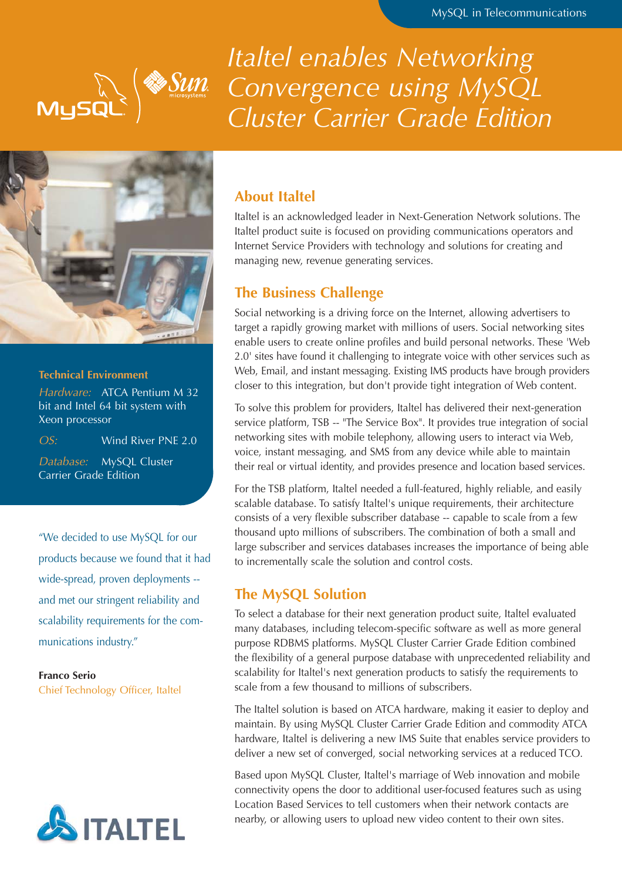

*Italtel enables Networking Convergence using MySQL Cluster Carrier Grade Edition*



### **Technical Environment**

Hardware: ATCA Pentium M 32 bit and Intel 64 bit system with Xeon processor

OS: Wind River PNE 2.0

Database: MySQL Cluster Carrier Grade Edition

"We decided to use MySQL for our products because we found that it had wide-spread, proven deployments - and met our stringent reliability and scalability requirements for the communications industry."

#### **Franco Serio**

Chief Technology Officer, Italtel



## **About Italtel**

Italtel is an acknowledged leader in Next-Generation Network solutions. The Italtel product suite is focused on providing communications operators and Internet Service Providers with technology and solutions for creating and managing new, revenue generating services.

## **The Business Challenge**

Social networking is a driving force on the Internet, allowing advertisers to target a rapidly growing market with millions of users. Social networking sites enable users to create online profiles and build personal networks. These 'Web 2.0' sites have found it challenging to integrate voice with other services such as Web, Email, and instant messaging. Existing IMS products have brough providers closer to this integration, but don't provide tight integration of Web content.

To solve this problem for providers, Italtel has delivered their next-generation service platform, TSB -- "The Service Box". It provides true integration of social networking sites with mobile telephony, allowing users to interact via Web, voice, instant messaging, and SMS from any device while able to maintain their real or virtual identity, and provides presence and location based services.

For the TSB platform, Italtel needed a full-featured, highly reliable, and easily scalable database. To satisfy Italtel's unique requirements, their architecture consists of a very flexible subscriber database -- capable to scale from a few thousand upto millions of subscribers. The combination of both a small and large subscriber and services databases increases the importance of being able to incrementally scale the solution and control costs.

## **The MySQL Solution**

To select a database for their next generation product suite, Italtel evaluated many databases, including telecom-specific software as well as more general purpose RDBMS platforms. MySQL Cluster Carrier Grade Edition combined the flexibility of a general purpose database with unprecedented reliability and scalability for Italtel's next generation products to satisfy the requirements to scale from a few thousand to millions of subscribers.

The Italtel solution is based on ATCA hardware, making it easier to deploy and maintain. By using MySQL Cluster Carrier Grade Edition and commodity ATCA hardware, Italtel is delivering a new IMS Suite that enables service providers to deliver a new set of converged, social networking services at a reduced TCO.

Based upon MySQL Cluster, Italtel's marriage of Web innovation and mobile connectivity opens the door to additional user-focused features such as using Location Based Services to tell customers when their network contacts are nearby, or allowing users to upload new video content to their own sites.